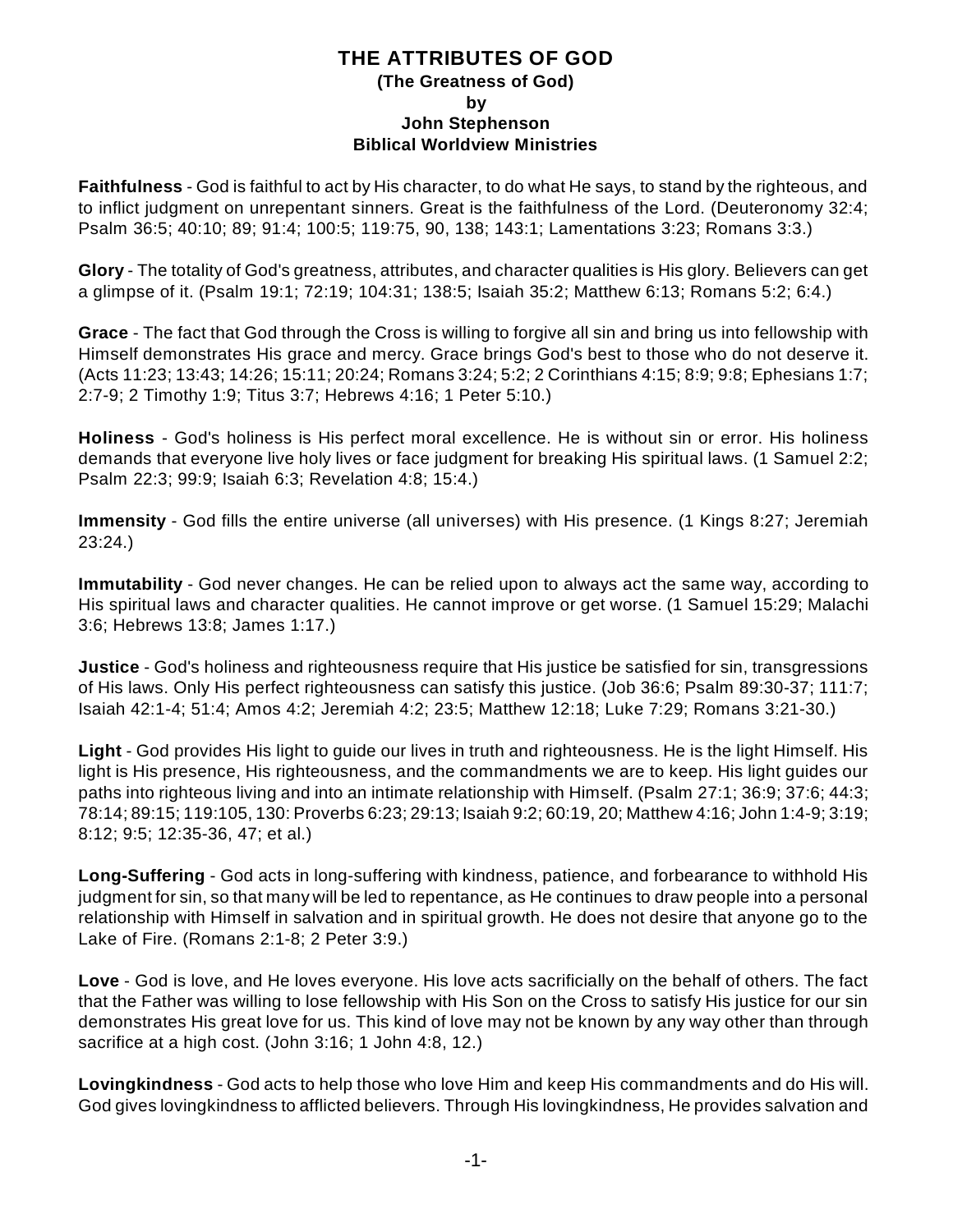## **THE ATTRIBUTES OF GOD (The Greatness of God) by John Stephenson Biblical Worldview Ministries**

**Faithfulness** - God is faithful to act by His character, to do what He says, to stand by the righteous, and to inflict judgment on unrepentant sinners. Great is the faithfulness of the Lord. (Deuteronomy 32:4; Psalm 36:5; 40:10; 89; 91:4; 100:5; 119:75, 90, 138; 143:1; Lamentations 3:23; Romans 3:3.)

**Glory** - The totality of God's greatness, attributes, and character qualities is His glory. Believers can get a glimpse of it. (Psalm 19:1; 72:19; 104:31; 138:5; Isaiah 35:2; Matthew 6:13; Romans 5:2; 6:4.)

**Grace** - The fact that God through the Cross is willing to forgive all sin and bring us into fellowship with Himself demonstrates His grace and mercy. Grace brings God's best to those who do not deserve it. (Acts 11:23; 13:43; 14:26; 15:11; 20:24; Romans 3:24; 5:2; 2 Corinthians 4:15; 8:9; 9:8; Ephesians 1:7; 2:7-9; 2 Timothy 1:9; Titus 3:7; Hebrews 4:16; 1 Peter 5:10.)

**Holiness** - God's holiness is His perfect moral excellence. He is without sin or error. His holiness demands that everyone live holy lives or face judgment for breaking His spiritual laws. (1 Samuel 2:2; Psalm 22:3; 99:9; Isaiah 6:3; Revelation 4:8; 15:4.)

**Immensity** - God fills the entire universe (all universes) with His presence. (1 Kings 8:27; Jeremiah 23:24.)

**Immutability** - God never changes. He can be relied upon to always act the same way, according to His spiritual laws and character qualities. He cannot improve or get worse. (1 Samuel 15:29; Malachi 3:6; Hebrews 13:8; James 1:17.)

**Justice** - God's holiness and righteousness require that His justice be satisfied for sin, transgressions of His laws. Only His perfect righteousness can satisfy this justice. (Job 36:6; Psalm 89:30-37; 111:7; Isaiah 42:1-4; 51:4; Amos 4:2; Jeremiah 4:2; 23:5; Matthew 12:18; Luke 7:29; Romans 3:21-30.)

**Light** - God provides His light to guide our lives in truth and righteousness. He is the light Himself. His light is His presence, His righteousness, and the commandments we are to keep. His light guides our paths into righteous living and into an intimate relationship with Himself. (Psalm 27:1; 36:9; 37:6; 44:3; 78:14; 89:15; 119:105, 130: Proverbs 6:23; 29:13; Isaiah 9:2; 60:19, 20; Matthew 4:16; John 1:4-9; 3:19; 8:12; 9:5; 12:35-36, 47; et al.)

**Long-Suffering** - God acts in long-suffering with kindness, patience, and forbearance to withhold His judgment for sin, so that many will be led to repentance, as He continues to draw people into a personal relationship with Himself in salvation and in spiritual growth. He does not desire that anyone go to the Lake of Fire. (Romans 2:1-8; 2 Peter 3:9.)

**Love** - God is love, and He loves everyone. His love acts sacrificially on the behalf of others. The fact that the Father was willing to lose fellowship with His Son on the Cross to satisfy His justice for our sin demonstrates His great love for us. This kind of love may not be known by any way other than through sacrifice at a high cost. (John 3:16; 1 John 4:8, 12.)

**Lovingkindness** - God acts to help those who love Him and keep His commandments and do His will. God gives lovingkindness to afflicted believers. Through His lovingkindness, He provides salvation and